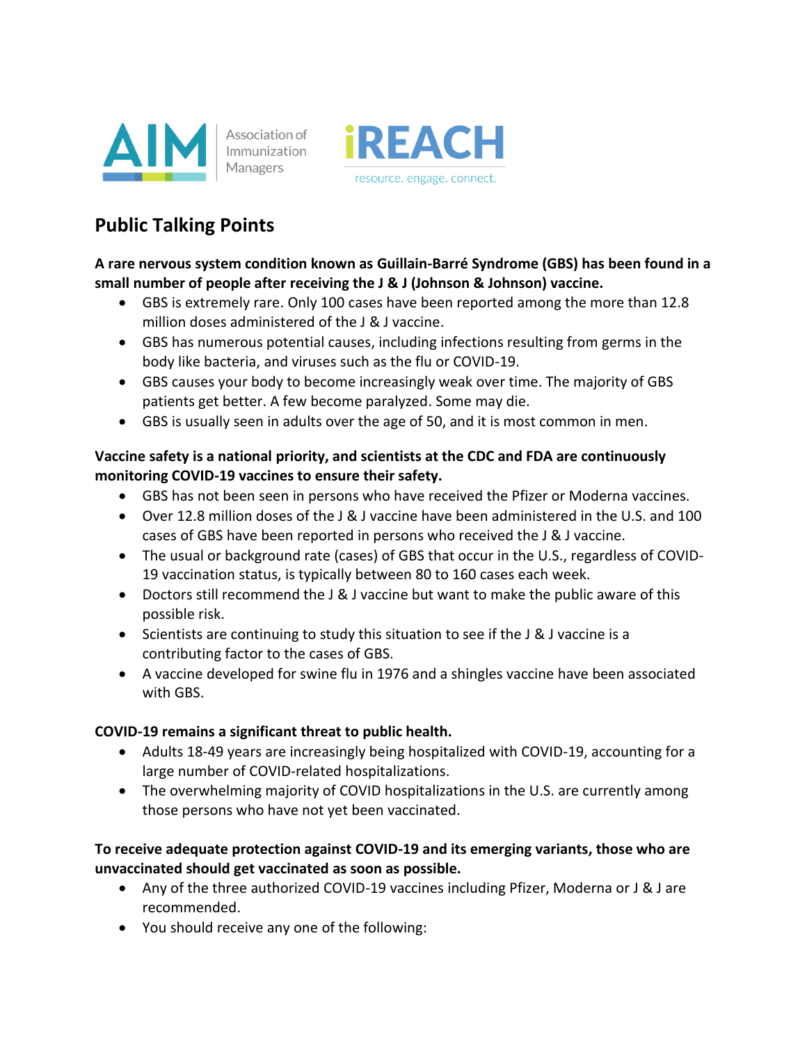



# **Public Talking Points**

**A rare nervous system condition known as Guillain-Barré Syndrome (GBS) has been found in a small number of people after receiving the J & J (Johnson & Johnson) vaccine.**

- GBS is extremely rare. Only 100 cases have been reported among the more than 12.8 million doses administered of the J & J vaccine.
- GBS has numerous potential causes, including infections resulting from germs in the body like bacteria, and viruses such as the flu or COVID-19.
- GBS causes your body to become increasingly weak over time. The majority of GBS patients get better. A few become paralyzed. Some may die.
- GBS is usually seen in adults over the age of 50, and it is most common in men.

#### **Vaccine safety is a national priority, and scientists at the CDC and FDA are continuously monitoring COVID-19 vaccines to ensure their safety.**

- GBS has not been seen in persons who have received the Pfizer or Moderna vaccines.
- Over 12.8 million doses of the J & J vaccine have been administered in the U.S. and 100 cases of GBS have been reported in persons who received the J & J vaccine.
- The usual or background rate (cases) of GBS that occur in the U.S., regardless of COVID-19 vaccination status, is typically between 80 to 160 cases each week.
- Doctors still recommend the J & J vaccine but want to make the public aware of this possible risk.
- Scientists are continuing to study this situation to see if the J & J vaccine is a contributing factor to the cases of GBS.
- A vaccine developed for swine flu in 1976 and a shingles vaccine have been associated with GBS.

#### **COVID-19 remains a significant threat to public health.**

- Adults 18-49 years are increasingly being hospitalized with COVID-19, accounting for a large number of COVID-related hospitalizations.
- The overwhelming majority of COVID hospitalizations in the U.S. are currently among those persons who have not yet been vaccinated.

#### **To receive adequate protection against COVID-19 and its emerging variants, those who are unvaccinated should get vaccinated as soon as possible.**

- Any of the three authorized COVID-19 vaccines including Pfizer, Moderna or J & J are recommended.
- You should receive any one of the following: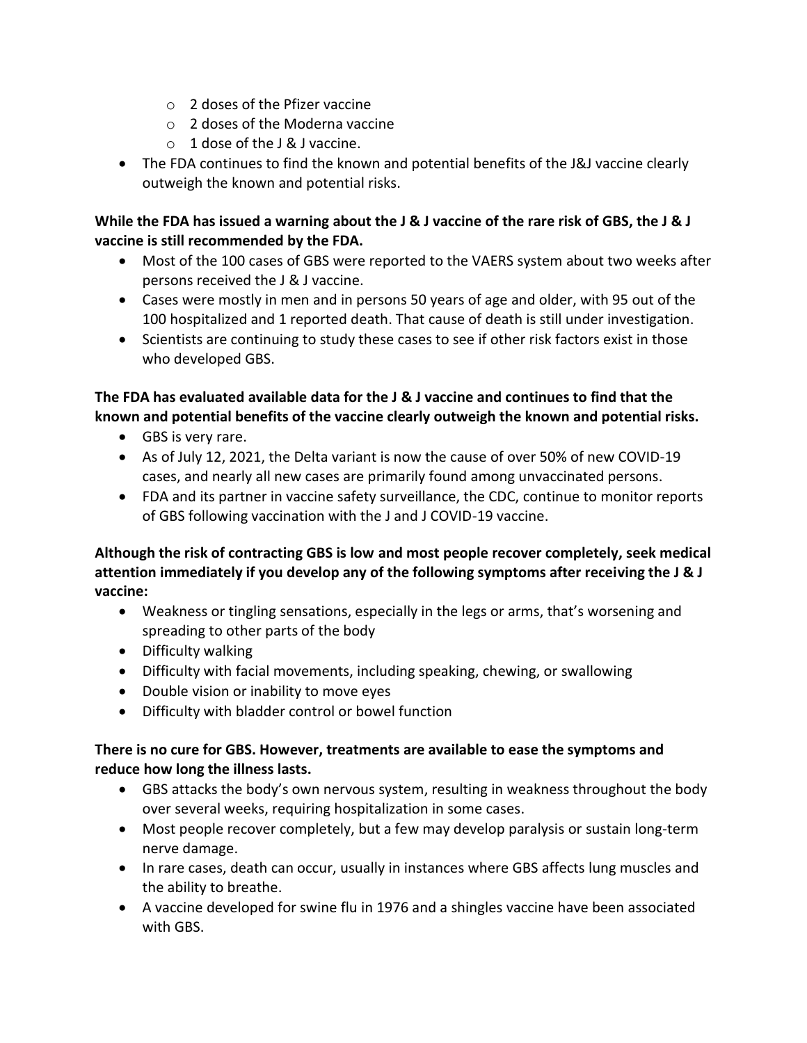- $\circ$  2 doses of the Pfizer vaccine
- o 2 doses of the Moderna vaccine
- $\circ$  1 dose of the L& Lyaccine.
- The FDA continues to find the known and potential benefits of the J&J vaccine clearly outweigh the known and potential risks.

#### **While the FDA has issued a warning about the J & J vaccine of the rare risk of GBS, the J & J vaccine is still recommended by the FDA.**

- Most of the 100 cases of GBS were reported to the VAERS system about two weeks after persons received the J & J vaccine.
- Cases were mostly in men and in persons 50 years of age and older, with 95 out of the 100 hospitalized and 1 reported death. That cause of death is still under investigation.
- Scientists are continuing to study these cases to see if other risk factors exist in those who developed GBS.

#### **The FDA has evaluated available data for the J & J vaccine and continues to find that the known and potential benefits of the vaccine clearly outweigh the known and potential risks.**

- GBS is very rare.
- As of July 12, 2021, the Delta variant is now the cause of over 50% of new COVID-19 cases, and nearly all new cases are primarily found among unvaccinated persons.
- FDA and its partner in vaccine safety surveillance, the CDC, continue to monitor reports of GBS following vaccination with the J and J COVID-19 vaccine.

#### **Although the risk of contracting GBS is low and most people recover completely, seek medical attention immediately if you develop any of the following symptoms after receiving the J & J vaccine:**

- Weakness or tingling sensations, especially in the legs or arms, that's worsening and spreading to other parts of the body
- Difficulty walking
- Difficulty with facial movements, including speaking, chewing, or swallowing
- Double vision or inability to move eyes
- Difficulty with bladder control or bowel function

#### **There is no cure for GBS. However, treatments are available to ease the symptoms and reduce how long the illness lasts.**

- GBS attacks the body's own nervous system, resulting in weakness throughout the body over several weeks, requiring hospitalization in some cases.
- Most people recover completely, but a few may develop paralysis or sustain long-term nerve damage.
- In rare cases, death can occur, usually in instances where GBS affects lung muscles and the ability to breathe.
- A vaccine developed for swine flu in 1976 and a shingles vaccine have been associated with GBS.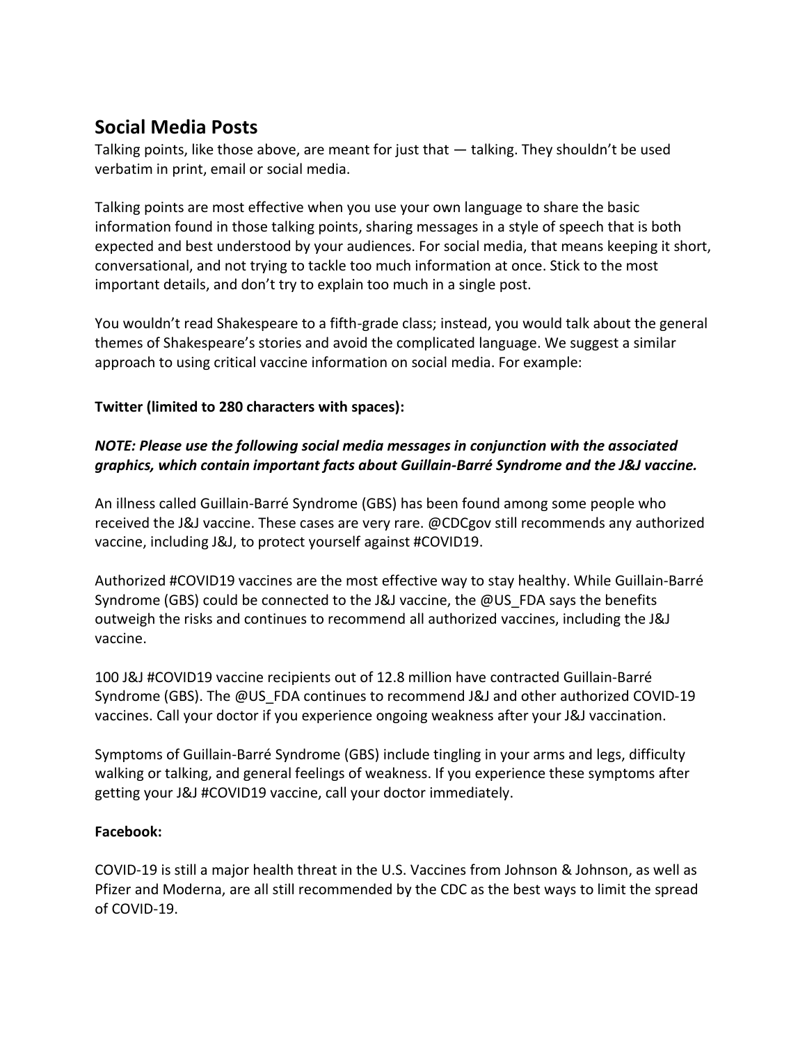## **Social Media Posts**

Talking points, like those above, are meant for just that — talking. They shouldn't be used verbatim in print, email or social media.

Talking points are most effective when you use your own language to share the basic information found in those talking points, sharing messages in a style of speech that is both expected and best understood by your audiences. For social media, that means keeping it short, conversational, and not trying to tackle too much information at once. Stick to the most important details, and don't try to explain too much in a single post.

You wouldn't read Shakespeare to a fifth-grade class; instead, you would talk about the general themes of Shakespeare's stories and avoid the complicated language. We suggest a similar approach to using critical vaccine information on social media. For example:

#### **Twitter (limited to 280 characters with spaces):**

### *NOTE: Please use the following social media messages in conjunction with the associated graphics, which contain important facts about Guillain-Barré Syndrome and the J&J vaccine.*

An illness called Guillain-Barré Syndrome (GBS) has been found among some people who received the J&J vaccine. These cases are very rare. @CDCgov still recommends any authorized vaccine, including J&J, to protect yourself against #COVID19.

Authorized #COVID19 vaccines are the most effective way to stay healthy. While Guillain-Barré Syndrome (GBS) could be connected to the J&J vaccine, the @US\_FDA says the benefits outweigh the risks and continues to recommend all authorized vaccines, including the J&J vaccine.

100 J&J #COVID19 vaccine recipients out of 12.8 million have contracted Guillain-Barré Syndrome (GBS). The @US\_FDA continues to recommend J&J and other authorized COVID-19 vaccines. Call your doctor if you experience ongoing weakness after your J&J vaccination.

Symptoms of Guillain-Barré Syndrome (GBS) include tingling in your arms and legs, difficulty walking or talking, and general feelings of weakness. If you experience these symptoms after getting your J&J #COVID19 vaccine, call your doctor immediately.

#### **Facebook:**

COVID-19 is still a major health threat in the U.S. Vaccines from Johnson & Johnson, as well as Pfizer and Moderna, are all still recommended by the CDC as the best ways to limit the spread of COVID-19.